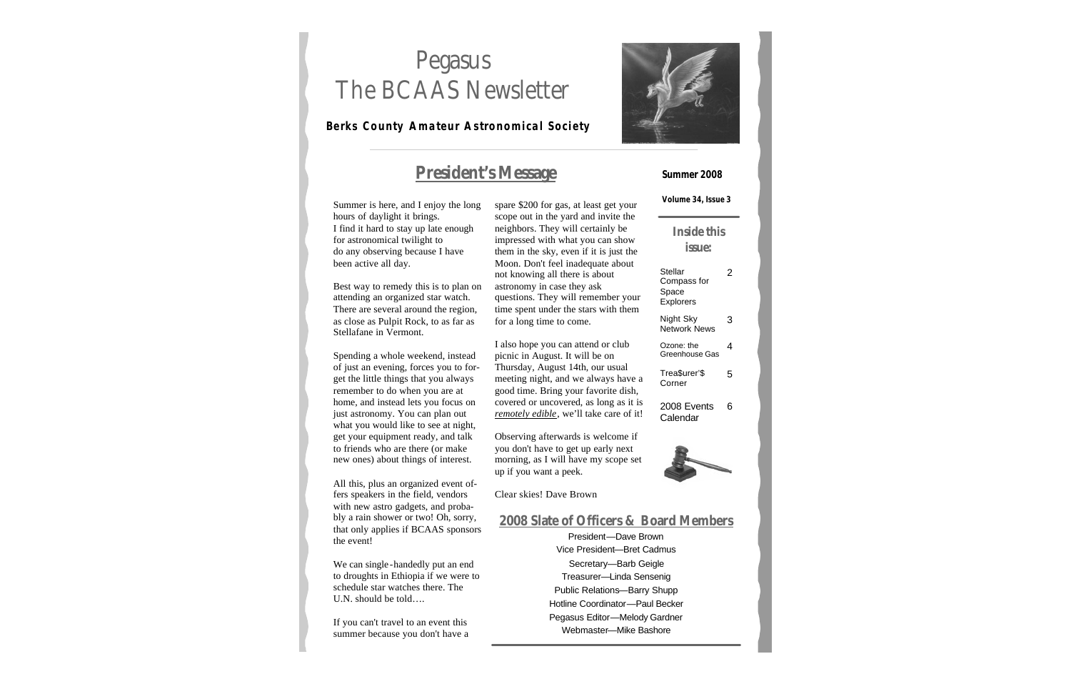# Pegasus The BCAAS Newsletter

### **Berks County Amateur Astronomical Society**



### **President's Message**

Summer is here, and I enjoy the long hours of daylight it brings. I find it hard to stay up late enough for astronomical twilight to do any observing because I have been active all day.

Best way to remedy this is to plan on attending an organized star watch. There are several around the region, as close as Pulpit Rock, to as far as Stellafane in Vermont.

Spending a whole weekend, instead of just an evening, forces you to forget the little things that you always remember to do when you are at home, and instead lets you focus on just astronomy. You can plan out what you would like to see at night, get your equipment ready, and talk to friends who are there (or make new ones) about things of interest.

All this, plus an organized event offers speakers in the field, vendors with new astro gadgets, and probably a rain shower or two! Oh, sorry, that only applies if BCAAS sponsors the event!

We can single -handedly put an end to droughts in Ethiopia if we were to schedule star watches there. The U.N. should be told….

If you can't travel to an event this summer because you don't have a spare \$200 for gas, at least get your scope out in the yard and invite the neighbors. They will certainly be impressed with what you can show them in the sky, even if it is just the Moon. Don't feel inadequate about not knowing all there is about astronomy in case they ask questions. They will remember your time spent under the stars with them for a long time to come.

I also hope you can attend or club picnic in August. It will be on Thursday, August 14th, our usual meeting night, and we always have a good time. Bring your favorite dish, covered or uncovered, as long as it is *remotely edible*, we'll take care of it!

Observing afterwards is welcome if you don't have to get up early next morning, as I will have my scope set up if you want a peek.

Clear skies! Dave Brown

### **2008 Slate of Officers & Board Members**

President—Dave Brown Vice President—Bret Cadmus Secretary—Barb Geigle Treasurer—Linda Sensenig Public Relations—Barry Shupp Hotline Coordinator—Paul Becker Pegasus Editor—Melody Gardner Webmaster—Mike Bashore

#### **Summer 2008**

**Volume 34, Issue 3**

### **Inside this issue:**

| Stellar<br>Compass for<br>Space<br><b>Explorers</b> |   |
|-----------------------------------------------------|---|
| Night Sky<br>Network News                           | З |
| Ozone: the<br>Greenhouse Gas                        | 4 |
| Trea\$urer'\$<br>Corner                             | 5 |
| 2008 Events<br>Calendar                             | 6 |
|                                                     |   |

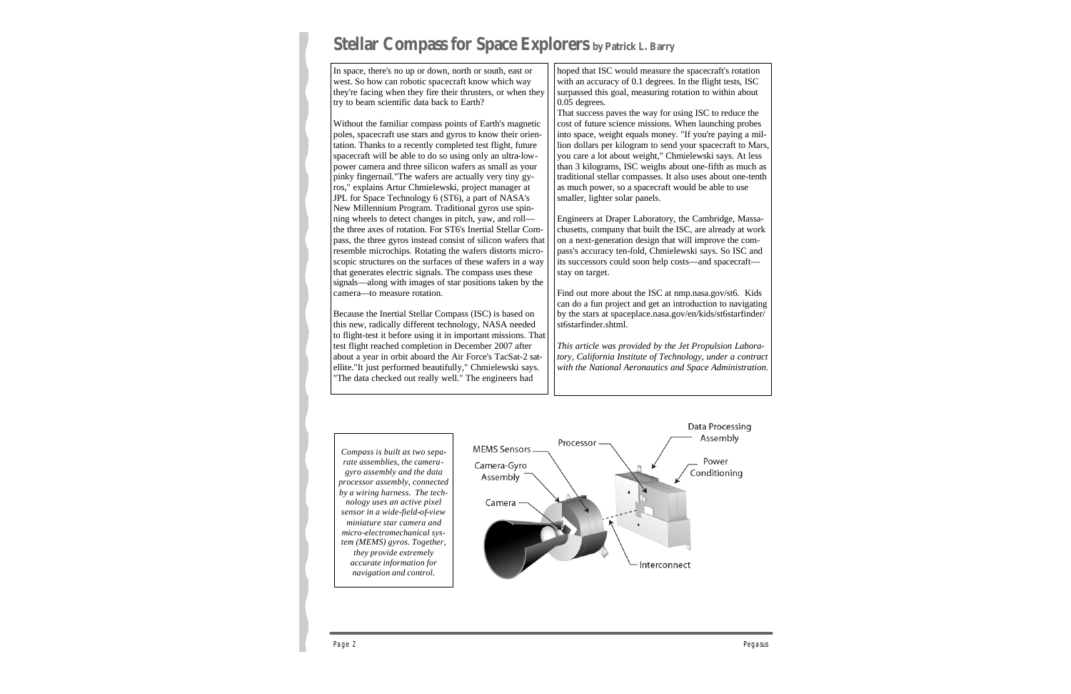# **Stellar Compass for Space Explorers by Patrick L. Barry**

In space, there's no up or down, north or south, east or west. So how can robotic spacecraft know which way they're facing when they fire their thrusters, or when they try to beam scientific data back to Earth?

Without the familiar compass points of Earth's magnetic poles, spacecraft use stars and gyros to know their orientation. Thanks to a recently completed test flight, future spacecraft will be able to do so using only an ultra-lowpower camera and three silicon wafers as small as your pinky fingernail."The wafers are actually very tiny gyros," explains Artur Chmielewski, project manager at JPL for Space Technology 6 (ST6), a part of NASA's New Millennium Program. Traditional gyros use spinning wheels to detect changes in pitch, yaw, and roll the three axes of rotation. For ST6's Inertial Stellar Compass, the three gyros instead consist of silicon wafers that resemble microchips. Rotating the wafers distorts microscopic structures on the surfaces of these wafers in a way that generates electric signals. The compass uses these signals—along with images of star positions taken by the camera—to measure rotation.

Because the Inertial Stellar Compass (ISC) is based on this new, radically different technology, NASA needed to flight-test it before using it in important missions. That test flight reached completion in December 2007 after about a year in orbit aboard the Air Force's TacSat-2 satellite."It just performed beautifully," Chmielewski says. "The data checked out really well." The engineers had

hoped that ISC would measure the spacecraft's rotation with an accuracy of 0.1 degrees. In the flight tests, ISC surpassed this goal, measuring rotation to within about 0.05 degrees.

That success paves the way for using ISC to reduce the cost of future science missions. When launching probes into space, weight equals money. "If you're paying a million dollars per kilogram to send your spacecraft to Mars, you care a lot about weight," Chmielewski says. At less than 3 kilograms, ISC weighs about one-fifth as much as traditional stellar compasses. It also uses about one-tenth as much power, so a spacecraft would be able to use smaller, lighter solar panels.

Engineers at Draper Laboratory, the Cambridge, Massachusetts, company that built the ISC, are already at work on a next-generation design that will improve the compass's accuracy ten-fold, Chmielewski says. So ISC and its successors could soon help costs—and spacecraft stay on target.

Find out more about the ISC at nmp.nasa.gov/st6. Kids can do a fun project and get an introduction to navigating by the stars at spaceplace.nasa.gov/en/kids/st6starfinder/ st6starfinder.shtml.

*This article was provided by the Jet Propulsion Laboratory, California Institute of Technology, under a contract with the National Aeronautics and Space Administration.*

*Compass is built as two separate assemblies, the cameragyro assembly and the data processor assembly, connected by a wiring harness. The technology uses an active pixel sensor in a wide-field-of-view miniature star camera and micro-electromechanical system (MEMS) gyros. Together, they provide extremely accurate information for navigation and control.* 

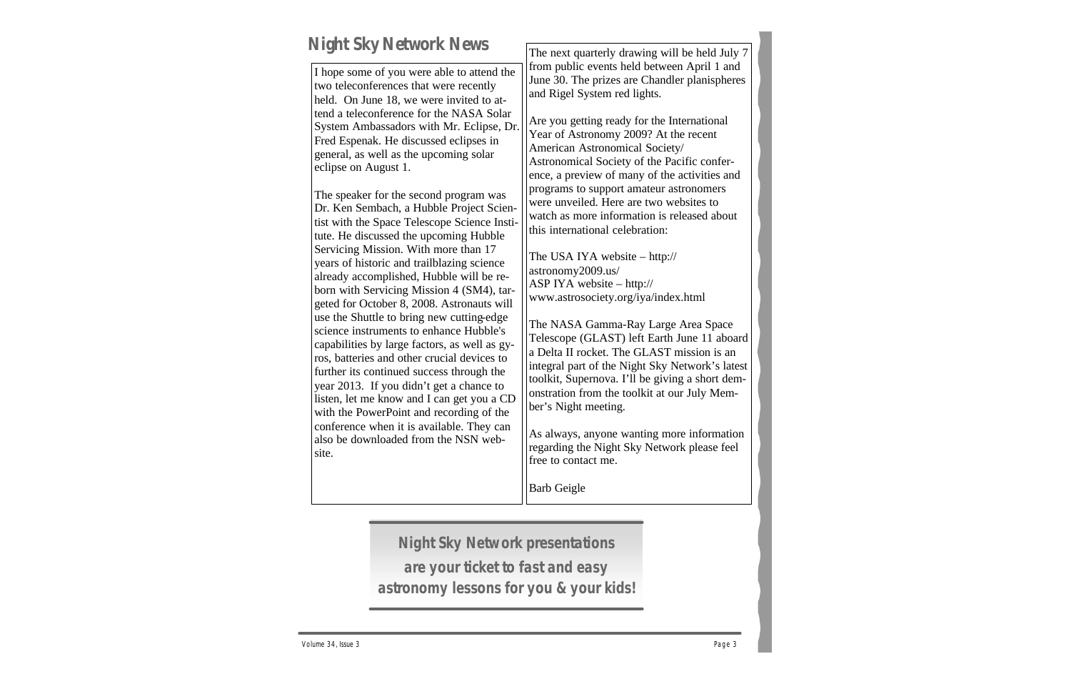# **Night Sky Network News**

I hope some of you were able to attend the two teleconferences that were recently held. On June 18, we were invited to attend a teleconference for the NASA Solar System Ambassadors with Mr. Eclipse, Dr. Fred Espenak. He discussed eclipses in general, as well as the upcoming solar eclipse on August 1.

The speaker for the second program was Dr. Ken Sembach, a Hubble Project Scientist with the Space Telescope Science Institute. He discussed the upcoming Hubble Servicing Mission. With more than 17 years of historic and trailblazing science already accomplished, Hubble will be reborn with Servicing Mission 4 (SM4), targeted for October 8, 2008. Astronauts will use the Shuttle to bring new cutting-edge science instruments to enhance Hubble's capabilities by large factors, as well as gyros, batteries and other crucial devices to further its continued success through the year 2013. If you didn't get a chance to listen, let me know and I can get you a CD with the PowerPoint and recording of the conference when it is available. They can also be downloaded from the NSN website.

The next quarterly drawing will be held July 7 from public events held between April 1 and June 30. The prizes are Chandler planispheres and Rigel System red lights.

Are you getting ready for the International Year of Astronomy 2009? At the recent American Astronomical Society/ Astronomical Society of the Pacific conference, a preview of many of the activities and programs to support amateur astronomers were unveiled. Here are two websites to watch as more information is released about this international celebration:

The USA IYA website – http:// astronomy2009.us/ ASP IYA website – http:// www.astrosociety.org/iya/index.html

The NASA Gamma-Ray Large Area Space Telescope (GLAST) left Earth June 11 aboard a Delta II rocket. The GLAST mission is an integral part of the Night Sky Network's latest toolkit, Supernova. I'll be giving a short demonstration from the toolkit at our July Member's Night meeting.

As always, anyone wanting more information regarding the Night Sky Network please feel free to contact me.

Barb Geigle

**Night Sky Network presentations are your ticket to fast and easy astronomy lessons for you & your kids!**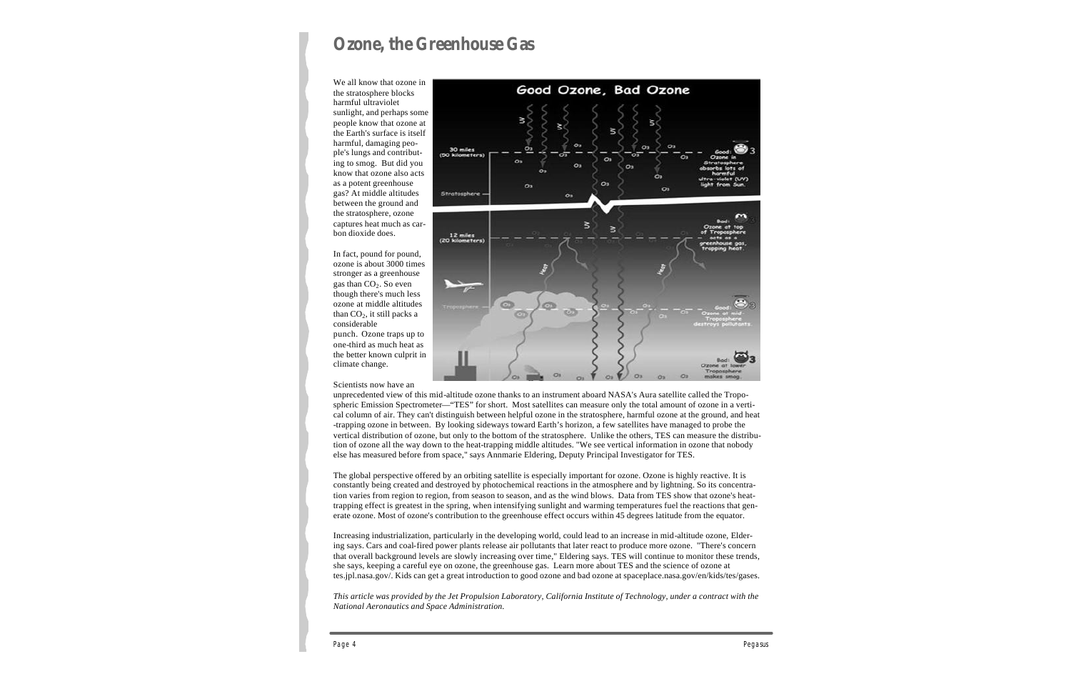# **Ozone, the Greenhouse Gas**

We all know that ozone in the stratosphere blocks harmful ultraviolet sunlight, and perhaps some people know that ozone at the Earth's surface is itself harmful, damaging people's lungs and contributing to smog. But did you know that ozone also acts as a potent greenhouse gas? At middle altitudes between the ground and the stratosphere, ozone captures heat much as carbon dioxide does.

In fact, pound for pound, ozone is about 3000 times stronger as a greenhouse gas than  $CO<sub>2</sub>$ . So even though there's much less ozone at middle altitudes than  $CO<sub>2</sub>$ , it still packs a considerable punch. Ozone traps up to one-third as much heat as the better known culprit in climate change.

Scientists now have an



unprecedented view of this mid-altitude ozone thanks to an instrument aboard NASA's Aura satellite called the Tropospheric Emission Spectrometer—"TES" for short. Most satellites can measure only the total amount of ozone in a vertical column of air. They can't distinguish between helpful ozone in the stratosphere, harmful ozone at the ground, and heat -trapping ozone in between. By looking sideways toward Earth's horizon, a few satellites have managed to probe the vertical distribution of ozone, but only to the bottom of the stratosphere. Unlike the others, TES can measure the distribution of ozone all the way down to the heat-trapping middle altitudes. "We see vertical information in ozone that nobody else has measured before from space," says Annmarie Eldering, Deputy Principal Investigator for TES.

The global perspective offered by an orbiting satellite is especially important for ozone. Ozone is highly reactive. It is constantly being created and destroyed by photochemical reactions in the atmosphere and by lightning. So its concentration varies from region to region, from season to season, and as the wind blows. Data from TES show that ozone's heattrapping effect is greatest in the spring, when intensifying sunlight and warming temperatures fuel the reactions that generate ozone. Most of ozone's contribution to the greenhouse effect occurs within 45 degrees latitude from the equator.

Increasing industrialization, particularly in the developing world, could lead to an increase in mid-altitude ozone, Eldering says. Cars and coal-fired power plants release air pollutants that later react to produce more ozone. "There's concern that overall background levels are slowly increasing over time," Eldering says. TES will continue to monitor these trends, she says, keeping a careful eye on ozone, the greenhouse gas. Learn more about TES and the science of ozone at tes.jpl.nasa.gov/. Kids can get a great introduction to good ozone and bad ozone at spaceplace.nasa.gov/en/kids/tes/gases.

*This article was provided by the Jet Propulsion Laboratory, California Institute of Technology, under a contract with the National Aeronautics and Space Administration.*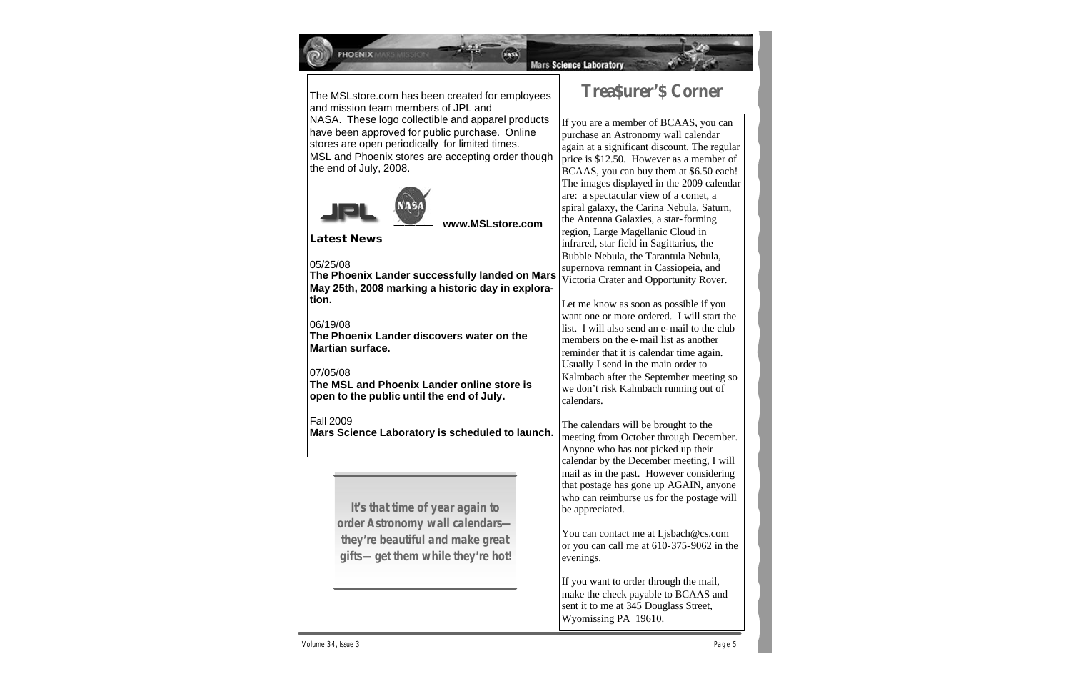

PHOENIX

**Mars Science Laboratory** 

The MSLstore.com has been created for employees and mission team members of JPL and NASA. These logo collectible and apparel products have been approved for public purchase. Online stores are open periodically for limited times. MSL and Phoenix stores are accepting order though the end of July, 2008.



 **www.MSLstore.com**

### **Latest News**

#### 05/25/08

**The Phoenix Lander successfully landed on Mars May 25th, 2008 marking a historic day in exploration.**

#### 06/19/08

**The Phoenix Lander discovers water on the Martian surface.**

#### 07/05/08

**The MSL and Phoenix Lander online store is open to the public until the end of July.**

#### Fall 2009

**Mars Science Laboratory is scheduled to launch.**

**It's that time of year again to order Astronomy wall calendars they're beautiful and make great gifts—get them while they're hot!**

### **Trea\$urer'\$ Corner**

If you are a member of BCAAS, you can purchase an Astronomy wall calendar again at a significant discount. The regular price is \$12.50. However as a member of BCAAS, you can buy them at \$6.50 each! The images displayed in the 2009 calendar are: a spectacular view of a comet, a spiral galaxy, the Carina Nebula, Saturn, the Antenna Galaxies, a star-forming region, Large Magellanic Cloud in infrared, star field in Sagittarius, the Bubble Nebula, the Tarantula Nebula, supernova remnant in Cassiopeia, and Victoria Crater and Opportunity Rover.

Let me know as soon as possible if you want one or more ordered. I will start the list. I will also send an e-mail to the club members on the e-mail list as another reminder that it is calendar time again. Usually I send in the main order to Kalmbach after the September meeting so we don't risk Kalmbach running out of calendars.

The calendars will be brought to the meeting from October through December. Anyone who has not picked up their calendar by the December meeting, I will mail as in the past. However considering that postage has gone up AGAIN, anyone who can reimburse us for the postage will be appreciated.

You can contact me at Ljsbach@cs.com or you can call me at 610-375-9062 in the evenings.

If you want to order through the mail, make the check payable to BCAAS and sent it to me at 345 Douglass Street, Wyomissing PA 19610.